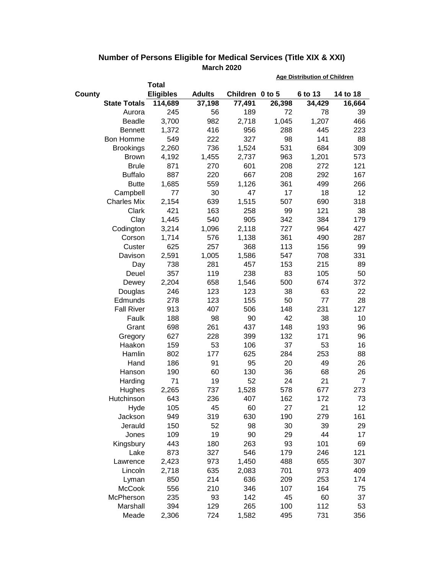|        |                     |                  |               |                 | <b>Age Distribution of Children</b> |         |          |  |
|--------|---------------------|------------------|---------------|-----------------|-------------------------------------|---------|----------|--|
|        |                     | <b>Total</b>     |               |                 |                                     |         |          |  |
| County |                     | <b>Eligibles</b> | <b>Adults</b> | Children 0 to 5 |                                     | 6 to 13 | 14 to 18 |  |
|        | <b>State Totals</b> | 114,689          | 37,198        | 77,491          | 26,398                              | 34,429  | 16,664   |  |
|        | Aurora              | 245              | 56            | 189             | 72                                  | 78      | 39       |  |
|        | <b>Beadle</b>       | 3,700            | 982           | 2,718           | 1,045                               | 1,207   | 466      |  |
|        | <b>Bennett</b>      | 1,372            | 416           | 956             | 288                                 | 445     | 223      |  |
|        | Bon Homme           | 549              | 222           | 327             | 98                                  | 141     | 88       |  |
|        | <b>Brookings</b>    | 2,260            | 736           | 1,524           | 531                                 | 684     | 309      |  |
|        | <b>Brown</b>        | 4,192            | 1,455         | 2,737           | 963                                 | 1,201   | 573      |  |
|        | <b>Brule</b>        | 871              | 270           | 601             | 208                                 | 272     | 121      |  |
|        | <b>Buffalo</b>      | 887              | 220           | 667             | 208                                 | 292     | 167      |  |
|        | <b>Butte</b>        | 1,685            | 559           | 1,126           | 361                                 | 499     | 266      |  |
|        | Campbell            | 77               | 30            | 47              | 17                                  | 18      | 12       |  |
|        | <b>Charles Mix</b>  | 2,154            | 639           | 1,515           | 507                                 | 690     | 318      |  |
|        | Clark               | 421              | 163           | 258             | 99                                  | 121     | 38       |  |
|        | Clay                | 1,445            | 540           | 905             | 342                                 | 384     | 179      |  |
|        | Codington           | 3,214            | 1,096         | 2,118           | 727                                 | 964     | 427      |  |
|        | Corson              | 1,714            | 576           | 1,138           | 361                                 | 490     | 287      |  |
|        | Custer              | 625              | 257           | 368             | 113                                 | 156     | 99       |  |
|        | Davison             | 2,591            | 1,005         | 1,586           | 547                                 | 708     | 331      |  |
|        | Day                 | 738              | 281           | 457             | 153                                 | 215     | 89       |  |
|        | Deuel               | 357              | 119           | 238             | 83                                  | 105     | 50       |  |
|        | Dewey               | 2,204            | 658           | 1,546           | 500                                 | 674     | 372      |  |
|        | Douglas             | 246              | 123           | 123             | 38                                  | 63      | 22       |  |
|        | Edmunds             | 278              | 123           | 155             | 50                                  | 77      | 28       |  |
|        | <b>Fall River</b>   | 913              | 407           | 506             | 148                                 | 231     | 127      |  |
|        | Faulk               | 188              | 98            | 90              | 42                                  | 38      | 10       |  |
|        | Grant               | 698              | 261           | 437             | 148                                 | 193     | 96       |  |
|        | Gregory             | 627              | 228           | 399             | 132                                 | 171     | 96       |  |
|        | Haakon              | 159              | 53            | 106             | 37                                  | 53      | 16       |  |
|        | Hamlin              | 802              | 177           | 625             | 284                                 | 253     | 88       |  |
|        | Hand                | 186              | 91            | 95              | 20                                  | 49      | 26       |  |
|        | Hanson              | 190              | 60            | 130             | 36                                  | 68      | 26       |  |
|        | Harding             | 71               | 19            | 52              | 24                                  | 21      | 7        |  |
|        | Hughes              | 2,265            | 737           | 1,528           | 578                                 | 677     | 273      |  |
|        | Hutchinson          | 643              | 236           | 407             | 162                                 | 172     | 73       |  |
|        | Hyde                | 105              | 45            | 60              | 27                                  | 21      | 12       |  |
|        | Jackson             | 949              | 319           | 630             | 190                                 | 279     | 161      |  |
|        | Jerauld             | 150              | 52            | 98              | 30                                  | 39      | 29       |  |
|        | Jones               | 109              | 19            | 90              | 29                                  | 44      | 17       |  |
|        | Kingsbury           | 443              | 180           | 263             | 93                                  | 101     | 69       |  |
|        | Lake                | 873              | 327           | 546             | 179                                 | 246     | 121      |  |
|        | Lawrence            | 2,423            | 973           | 1,450           | 488                                 | 655     | 307      |  |
|        | Lincoln             | 2,718            | 635           | 2,083           | 701                                 | 973     | 409      |  |
|        | Lyman               | 850              | 214           | 636             | 209                                 | 253     | 174      |  |
|        | <b>McCook</b>       | 556              | 210           | 346             | 107                                 | 164     | 75       |  |
|        | McPherson           | 235              | 93            | 142             | 45                                  | 60      | 37       |  |
|        | Marshall            | 394              | 129           | 265             | 100                                 | 112     | 53       |  |
|        | Meade               | 2,306            | 724           | 1,582           | 495                                 | 731     | 356      |  |

## **Number of Persons Eligible for Medical Services (Title XIX & XXI) March 2020**